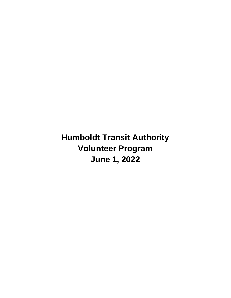**Humboldt Transit Authority Volunteer Program June 1, 2022**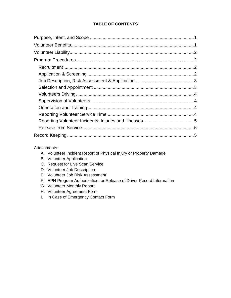## **TABLE OF CONTENTS**

### Attachments:

- A. Volunteer Incident Report of Physical Injury or Property Damage
- B. Volunteer Application
- C. Request for Live Scan Service
- D. Volunteer Job Description
- E. Volunteer Job Risk Assessment
- F. EPN Program Authorization for Release of Driver Record Information
- G. Volunteer Monthly Report
- H. Volunteer Agreement Form
- I. In Case of Emergency Contact Form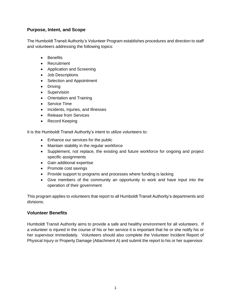## <span id="page-2-0"></span>**Purpose, Intent, and Scope**

The Humboldt Transit Authority's Volunteer Program establishes procedures and direction to staff and volunteers addressing the following topics:

- Benefits
- Recruitment
- Application and Screening
- Job Descriptions
- Selection and Appointment
- Driving
- Supervision
- Orientation and Training
- Service Time
- Incidents, Injuries, and Illnesses
- Release from Services
- Record Keeping

It is the Humboldt Transit Authority's intent to utilize volunteers to:

- Enhance our services for the public
- Maintain stability in the regular workforce
- Supplement, not replace, the existing and future workforce for ongoing and project specific assignments
- Gain additional expertise
- Promote cost savings
- Provide support to programs and processes where funding is lacking
- Give members of the community an opportunity to work and have input into the operation of their government

This program applies to volunteers that report to all Humboldt Transit Authority's departments and divisions.

### <span id="page-2-1"></span>**Volunteer Benefits**

Humboldt Transit Authority aims to provide a safe and healthy environment for all volunteers. If a volunteer is injured in the course of his or her service it is important that he or she notify his or her supervisor immediately. Volunteers should also complete the Volunteer Incident Report of Physical Injury or Property Damage (Attachment A) and submit the report to his or her supervisor.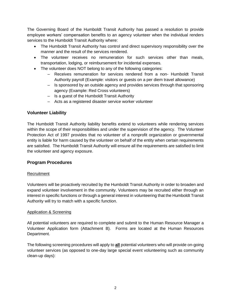The Governing Board of the Humboldt Transit Authority has passed a resolution to provide employee workers' compensation benefits to an agency volunteer when the individual renders services to the Humboldt Transit Authority where:

- The Humboldt Transit Authority has control and direct supervisory responsibility over the manner and the result of the services rendered.
- The volunteer receives no remuneration for such services other than meals, transportation, lodging, or reimbursement for incidental expenses.
- The volunteer does NOT belong to any of the following categories:
	- ‒ Receives remuneration for services rendered from a non- Humboldt Transit Authority payroll (Example: visitors or guests on a per diem travel allowance)
	- ‒ Is sponsored by an outside agency and provides services through that sponsoring agency (Example: Red Cross volunteers)
	- ‒ Is a guest of the Humboldt Transit Authority
	- ‒ Acts as a registered disaster service worker volunteer

## <span id="page-3-0"></span>**Volunteer Liability**

The Humboldt Transit Authority liability benefits extend to volunteers while rendering services within the scope of their responsibilities and under the supervision of the agency. The Volunteer Protection Act of 1997 provides that no volunteer of a nonprofit organization or governmental entity is liable for harm caused by the volunteer on behalf of the entity when certain requirements are satisfied. The Humboldt Transit Authority will ensure all the requirements are satisfied to limit the volunteer and agency exposure.

## <span id="page-3-1"></span>**Program Procedures**

### <span id="page-3-2"></span>Recruitment

Volunteers will be proactively recruited by the Humboldt Transit Authority in order to broaden and expand volunteer involvement in the community. Volunteers may be recruited either through an interest in specific functions or through a general interest in volunteering that the Humboldt Transit Authority will try to match with a specific function.

### <span id="page-3-3"></span>Application & Screening

All potential volunteers are required to complete and submit to the Human Resource Manager a Volunteer Application form (Attachment B). Forms are located at the Human Resources Department.

The following screening procedures will apply to **all** potential volunteers who will provide on-going volunteer services (as opposed to one-day large special event volunteering such as community clean-up days):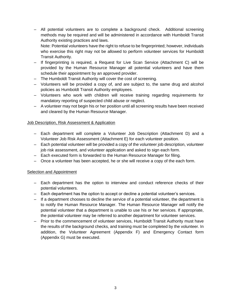‒ All potential volunteers are to complete a background check. Additional screening methods may be required and will be administered in accordance with Humboldt Transit Authority existing practices and laws.

Note: Potential volunteers have the right to refuse to be fingerprinted; however, individuals who exercise this right may not be allowed to perform volunteer services for Humboldt Transit Authority.

- ‒ If fingerprinting is required, a Request for Live Scan Service (Attachment C) will be provided by the Human Resource Manager all potential volunteers and have them schedule their appointment by an approved provider.
- ‒ The Humboldt Transit Authority will cover the cost of screening*.*
- ‒ Volunteers will be provided a copy of, and are subject to, the same drug and alcohol policies as Humboldt Transit Authority employees.
- ‒ Volunteers who work with children will receive training regarding requirements for mandatory reporting of suspected child abuse or neglect.
- ‒ A volunteer may not begin his or her position until all screening results have been received and cleared by the Human Resource Manager.

### <span id="page-4-0"></span>Job Description, Risk Assessment & Application

- ‒ Each department will complete a Volunteer Job Description (Attachment D) and a Volunteer Job Risk Assessment (Attachment E) for each volunteer position.
- ‒ Each potential volunteer will be provided a copy of the volunteer job description, volunteer job risk assessment, and volunteer application and asked to sign each form.
- ‒ Each executed form is forwarded to the Human Resource Manager for filing.
- ‒ Once a volunteer has been accepted, he or she will receive a copy of the each form.

### <span id="page-4-1"></span>**Selection and Appointment**

- ‒ Each department has the option to interview and conduct reference checks of their potential volunteers.
- ‒ Each department has the option to accept or decline a potential volunteer's services.
- ‒ If a department chooses to decline the service of a potential volunteer, the department is to notify the Human Resource Manager. The Human Resource Manager will notify the potential volunteer that a department is unable to use his or her services. If appropriate, the potential volunteer may be referred to another department for volunteer services.
- ‒ Prior to the commencement of volunteer services, Humboldt Transit Authority must have the results of the background checks, and training must be completed by the volunteer. In addition, the Volunteer Agreement (Appendix F) and Emergency Contact form (Appendix G) must be executed.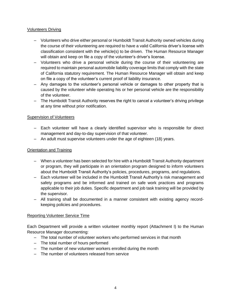### <span id="page-5-0"></span>Volunteers Driving

- ‒ Volunteers who drive either personal or Humboldt Transit Authority owned vehicles during the course of their volunteering are required to have a valid California driver's license with classification consistent with the vehicle(s) to be driven. The Human Resource Manager will obtain and keep on file a copy of the volunteer's driver's license.
- ‒ Volunteers who drive a personal vehicle during the course of their volunteering are required to maintain personal automobile liability coverage limits that comply with the state of California statutory requirement. The Human Resource Manager will obtain and keep on file a copy of the volunteer's current proof of liability insurance.
- ‒ Any damages to the volunteer's personal vehicle or damages to other property that is caused by the volunteer while operating his or her personal vehicle are the responsibility of the volunteer.
- ‒ The Humboldt Transit Authority reserves the right to cancel a volunteer's driving privilege at any time without prior notification.

### <span id="page-5-1"></span>Supervision of Volunteers

- ‒ Each volunteer will have a clearly identified supervisor who is responsible for direct management and day-to-day supervision of that volunteer.
- ‒ An adult must supervise volunteers under the age of eighteen (18) years.

### <span id="page-5-2"></span>Orientation and Training

- ‒ When a volunteer has been selected for hire with a Humboldt Transit Authority department or program, they will participate in an orientation program designed to inform volunteers about the Humboldt Transit Authority's policies, procedures, programs, and regulations.
- ‒ Each volunteer will be included in the Humboldt Transit Authority's risk management and safety programs and be informed and trained on safe work practices and programs applicable to their job duties. Specific department and job task training will be provided by the supervisor.
- ‒ All training shall be documented in a manner consistent with existing agency recordkeeping policies and procedures.

### <span id="page-5-3"></span>Reporting Volunteer Service Time

Each Department will provide a written volunteer monthly report (Attachment I) to the Human Resource Manager documenting:

- ‒ The total number of volunteer workers who performed services in that month
- ‒ The total number of hours performed
- The number of new volunteer workers enrolled during the month
- ‒ The number of volunteers released from service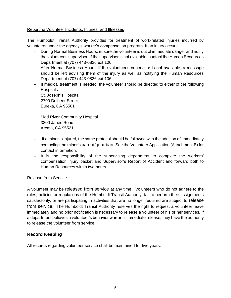### <span id="page-6-0"></span>Reporting Volunteer Incidents, Injuries, and Illnesses

The Humboldt Transit Authority provides for treatment of work-related injuries incurred by volunteers under the agency's worker's compensation program. If an injury occurs:

- ‒ During Normal Business Hours: ensure the volunteer is out of immediate danger and notify the volunteer's supervisor. If the supervisor is not available, contact the Human Resources Department at (707) 443-0826 ext 106.
- ‒ After Normal Business Hours: if the volunteer's supervisor is not available, a message should be left advising them of the injury as well as notifying the Human Resources Department at (707) 443-0826 ext 106.
- ‒ If medical treatment is needed, the volunteer should be directed to either of the following Hospitals:

St. Joseph's Hospital 2700 Dolbeer Street Eureka, CA 95501

Mad River Community Hospital 3800 Janes Road Arcata, CA 95521

- ‒ If a minor is injured, the same protocol should be followed with the addition of immediately contacting the minor's parent/guardian. See the Volunteer Application (Attachment B) for contact information.
- ‒ It is the responsibility of the supervising department to complete the workers' compensation injury packet and Supervisor's Report of Accident and forward both to Human Resources within two hours.

### <span id="page-6-1"></span>Release from Service

A volunteer may be released from service at any time. Volunteers who do not adhere to the rules, policies or regulations of the Humboldt Transit Authority; fail to perform their assignments satisfactorily; or are participating in activities that are no longer required are subject to release from service. The Humboldt Transit Authority reserves the right to request a volunteer leave immediately and no prior notification is necessary to release a volunteer of his or her services. If a department believes a volunteer's behavior warrants immediate release, they have the authority to release the volunteer from service.

## <span id="page-6-2"></span>**Record Keeping**

All records regarding volunteer service shall be maintained for five years.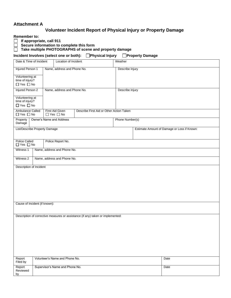## **Attachment A**

## **Volunteer Incident Report of Physical Injury or Property Damage**

**Remember to:**

 **If appropriate, call 911** 

 **Secure information to complete this form** 

 **Take multiple PHOTOGRAPHS of scene and property damage**

## Incident Involves (select one or both): Physical Injury Property Damage

| Date & Time of Incident<br>Location of Incident            |                               |                                         | Weather                                                                         |                 |  |                                             |
|------------------------------------------------------------|-------------------------------|-----------------------------------------|---------------------------------------------------------------------------------|-----------------|--|---------------------------------------------|
| Injured Person 1                                           |                               | Name, address and Phone No.             |                                                                                 | Describe Injury |  |                                             |
| Volunteering at<br>time of injury?<br>$\Box$ Yes $\Box$ No |                               |                                         |                                                                                 |                 |  |                                             |
| Injured Person 2<br>Name, address and Phone No.            |                               |                                         |                                                                                 | Describe Injury |  |                                             |
| Volunteering at<br>time of injury?<br>$\Box$ Yes $\Box$ No |                               |                                         |                                                                                 |                 |  |                                             |
| Ambulance Called<br>$\Box$ Yes $\Box$ No                   |                               | First Aid Given<br>$\Box$ Yes $\Box$ No | Describe First Aid or Other Action Taken                                        |                 |  |                                             |
| Property<br>Damage                                         | Owner's Name and Address      |                                         |                                                                                 | Phone Number(s) |  |                                             |
|                                                            | List/Describe Property Damage |                                         |                                                                                 |                 |  | Estimate Amount of Damage or Loss if Known: |
|                                                            |                               |                                         |                                                                                 |                 |  |                                             |
| <b>Police Called</b><br>$\Box$ Yes $\Box$ No               |                               | Police Report No.                       |                                                                                 |                 |  |                                             |
| Witness 1                                                  |                               | Name, address and Phone No.             |                                                                                 |                 |  |                                             |
| Witness 2                                                  |                               | Name, address and Phone No.             |                                                                                 |                 |  |                                             |
| Description of Incident                                    |                               |                                         |                                                                                 |                 |  |                                             |
|                                                            |                               |                                         |                                                                                 |                 |  |                                             |
|                                                            |                               |                                         |                                                                                 |                 |  |                                             |
|                                                            |                               |                                         |                                                                                 |                 |  |                                             |
|                                                            |                               |                                         |                                                                                 |                 |  |                                             |
|                                                            | Cause of Incident (if known): |                                         |                                                                                 |                 |  |                                             |
|                                                            |                               |                                         |                                                                                 |                 |  |                                             |
|                                                            |                               |                                         | Description of corrective measures or assistance (if any) taken or implemented: |                 |  |                                             |
|                                                            |                               |                                         |                                                                                 |                 |  |                                             |
|                                                            |                               |                                         |                                                                                 |                 |  |                                             |
|                                                            |                               |                                         |                                                                                 |                 |  |                                             |
|                                                            |                               |                                         |                                                                                 |                 |  |                                             |
|                                                            |                               |                                         |                                                                                 |                 |  |                                             |
| Report<br>Filed by                                         |                               | Volunteer's Name and Phone No.          |                                                                                 |                 |  | Date                                        |
| Report<br>Reviewed<br>by                                   |                               | Supervisor's Name and Phone No.         |                                                                                 |                 |  | Date                                        |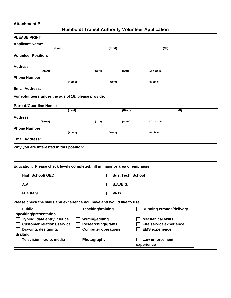## **Attachment B**

# **Humboldt Transit Authority Volunteer Application**

| <b>PLEASE PRINT</b>                                                          |                            |                    |                                                                                                                                                                                                                                     |  |
|------------------------------------------------------------------------------|----------------------------|--------------------|-------------------------------------------------------------------------------------------------------------------------------------------------------------------------------------------------------------------------------------|--|
| <b>Applicant Name:</b>                                                       |                            |                    |                                                                                                                                                                                                                                     |  |
| (Last)                                                                       | (First)                    |                    | (MI)                                                                                                                                                                                                                                |  |
| <b>Volunteer Position:</b>                                                   |                            |                    |                                                                                                                                                                                                                                     |  |
|                                                                              |                            |                    |                                                                                                                                                                                                                                     |  |
| <b>Address:</b>                                                              |                            |                    |                                                                                                                                                                                                                                     |  |
| (Street)                                                                     | (City)                     | (State)            | (Zip Code)                                                                                                                                                                                                                          |  |
| <b>Phone Number:</b>                                                         |                            |                    |                                                                                                                                                                                                                                     |  |
| (Home)                                                                       | (Work)                     |                    | (Mobile)                                                                                                                                                                                                                            |  |
| <b>Email Address:</b>                                                        |                            |                    |                                                                                                                                                                                                                                     |  |
| For volunteers under the age of 18, please provide:                          |                            |                    |                                                                                                                                                                                                                                     |  |
|                                                                              |                            |                    |                                                                                                                                                                                                                                     |  |
| <b>Parent/Guardian Name:</b>                                                 |                            |                    |                                                                                                                                                                                                                                     |  |
| (Last)                                                                       |                            | (First)            | (MI)                                                                                                                                                                                                                                |  |
| <b>Address:</b><br>(Street)                                                  |                            |                    |                                                                                                                                                                                                                                     |  |
|                                                                              | $\overline{(City)}$        | (State)            | (Zip Code)                                                                                                                                                                                                                          |  |
| <b>Phone Number:</b><br>(Home)                                               | (Work)                     |                    | (Mobile)                                                                                                                                                                                                                            |  |
|                                                                              |                            |                    |                                                                                                                                                                                                                                     |  |
| <b>Email Address:</b>                                                        |                            |                    |                                                                                                                                                                                                                                     |  |
| Why you are interested in this position:                                     |                            |                    |                                                                                                                                                                                                                                     |  |
|                                                                              |                            |                    |                                                                                                                                                                                                                                     |  |
|                                                                              |                            |                    |                                                                                                                                                                                                                                     |  |
| Education: Please check levels completed; fill in major or area of emphasis: |                            |                    |                                                                                                                                                                                                                                     |  |
|                                                                              |                            |                    |                                                                                                                                                                                                                                     |  |
| <b>High School/ GED</b>                                                      |                            | Bus./Tech. School_ |                                                                                                                                                                                                                                     |  |
| A.A.                                                                         |                            |                    | <b>B.A./B.S.</b> The contract of the contract of the contract of the contract of the contract of the contract of the contract of the contract of the contract of the contract of the contract of the contract of the contract of th |  |
|                                                                              |                            |                    |                                                                                                                                                                                                                                     |  |
| M.A.M.S.                                                                     | $\perp$                    |                    |                                                                                                                                                                                                                                     |  |
| Please check the skills and experience you have and would like to use:       |                            |                    |                                                                                                                                                                                                                                     |  |
| <b>Public</b>                                                                | Teaching/training          |                    | <b>Running errands/delivery</b>                                                                                                                                                                                                     |  |
| speaking/presentation                                                        |                            |                    |                                                                                                                                                                                                                                     |  |
| Typing, data entry, clerical                                                 | <b>Writing/editing</b>     |                    | <b>Mechanical skills</b>                                                                                                                                                                                                            |  |
| <b>Customer relations/service</b>                                            | <b>Researching/grants</b>  |                    | <b>Fire service experience</b>                                                                                                                                                                                                      |  |
| Drawing, designing,                                                          | <b>Computer operations</b> |                    | <b>EMS</b> experience                                                                                                                                                                                                               |  |
| drafting                                                                     |                            |                    |                                                                                                                                                                                                                                     |  |
| Television, radio, media                                                     | Photography                |                    | Law enforcement                                                                                                                                                                                                                     |  |
|                                                                              |                            |                    | experience                                                                                                                                                                                                                          |  |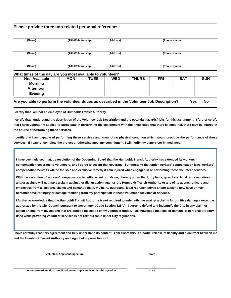#### **Please provide three non-related personal references:**

| (Name)                                                     | (Title/Relationship) |                      | (Address)  |                | (Phone Number) |                |            |
|------------------------------------------------------------|----------------------|----------------------|------------|----------------|----------------|----------------|------------|
| (Name)                                                     |                      | (Title/Relationship) |            | (Phone Number) |                |                |            |
| (Name)                                                     | (Title/Relationship) |                      | (Address)  |                |                | (Phone Number) |            |
|                                                            |                      |                      |            |                |                |                |            |
| What times of the day are you most available to volunteer? |                      |                      |            |                |                |                |            |
| Hrs. Available                                             | <b>MON</b>           | TUES                 | <b>WED</b> | <b>THURS</b>   | <b>FRI</b>     | <b>SAT</b>     |            |
| <b>Morning</b><br><b>Afternoon</b>                         |                      |                      |            |                |                |                | <b>SUN</b> |

**I certify that I am not an employee of Humboldt Transit Authority**

**I certify that I understand the description of the Volunteer Job Description and the potential hazards/risks for this assignment. I further certify that I have voluntarily applied to participate in performing the assignment with the knowledge that there is some risk that I may be injured in the course of performing these services.**

**I certify that I am capable of performing these services and know of no physical condition which would preclude the performance of those services. If I cannot complete the project or otherwise meet my commitment, I will notify my supervisor immediately.**

**I have been advised that, by resolution of the Governing Board that the Humboldt Transit Authority has extended its workers' compensation coverage to volunteers, and I agree to accept that coverage. I understand that under workers' compensation laws workers' compensation benefits will be the sole and exclusive remedy if I am injured while engaged in or performing these volunteer services.**

**With the exception of workers' compensation benefits as set out above, I hereby agree that I, my heirs, guardians, legal representatives and/or assigns will not make a claim against, or file an action against the Humboldt Transit Authority or any of its agents, officers and employees from all actions, claims and demands that I, my heirs, guardians, legal representatives and/or assigns now have or may hereafter have for injury or damage resulting from my participation in these volunteer activities or services.**

**I further acknowledge that the Humboldt Transit Authority is not required to indemnify me against a claims for punitive damages except as authorized by the City Council pursuant to Government Code Section 825(b). I agree to defend and indemnify the City in any claim or action arising from my actions that are outside the scope of my volunteer duties. I acknowledge that loss or damage of personal property used while providing volunteer services is not reimbursable under City regulations.**

**I have carefully read this agreement and fully understand its content. I am aware this is a partial release of liability and a contract between me and the Humboldt Transit Authority and sign it of my own free will.** 

**Volunteer Applicant Signature Date** 

**\_\_\_\_\_\_\_\_\_\_\_\_\_\_\_\_\_\_\_\_\_\_\_\_\_\_\_\_\_\_\_\_\_\_\_\_\_\_\_\_\_\_\_\_\_\_\_\_\_\_\_\_\_\_ \_\_\_\_\_\_\_\_\_\_\_\_\_\_\_\_\_\_\_**

**Parent/Guardian Signature if Volunteer Applicant is under the age of 18 Date**

**\_\_\_\_\_\_\_\_\_\_\_\_\_\_\_\_\_\_\_\_\_\_\_\_\_\_\_\_\_\_\_\_\_\_\_\_\_\_\_\_\_\_\_\_\_\_\_\_\_\_\_\_\_\_ \_\_\_\_\_\_\_\_\_\_\_\_\_\_\_\_\_\_\_**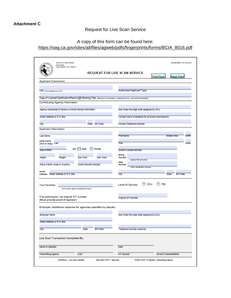# Request for Live Scan Service

# A copy of this form can be found here: [https://oag.ca.gov/sites/all/files/agweb/pdfs/fingerprints/forms/BCIA\\_8016.pdf](https://oag.ca.gov/sites/all/files/agweb/pdfs/fingerprints/forms/BCIA_8016.pdf)

| <b>BCIA 8016</b><br>(orig. 04/2001; rev. 01/2011)                                                                            | <b>REQUEST FOR LIVE SCAN SERVICE</b>                |                                        |
|------------------------------------------------------------------------------------------------------------------------------|-----------------------------------------------------|----------------------------------------|
|                                                                                                                              |                                                     | <b>Print Form</b><br><b>Reset Form</b> |
| <b>Applicant Submission</b>                                                                                                  |                                                     |                                        |
|                                                                                                                              |                                                     |                                        |
| ORI (Code assigned by DOJ)                                                                                                   | <b>Authorized Applicant Type</b>                    |                                        |
|                                                                                                                              |                                                     |                                        |
| Type of License/Certification/Permit OR Working Title (Maximum 30 characters - if assigned by DOJ, use exact title assigned) |                                                     |                                        |
| Contributing Agency Information:                                                                                             |                                                     |                                        |
|                                                                                                                              |                                                     |                                        |
| Agency Authorized to Receive Criminal Record Information                                                                     | Mail Code (five-digit code assigned by DOJ)         |                                        |
| Street Address or P.O. Box                                                                                                   | Contact Name (mandatory for all school submissions) |                                        |
|                                                                                                                              |                                                     |                                        |
| City<br>State ZIP Code                                                                                                       | Contact Telephone Number                            |                                        |
| Applicant Information:                                                                                                       |                                                     |                                        |
| <b>Last Name</b>                                                                                                             | <b>First Name</b>                                   | <b>Middle Initial</b>                  |
|                                                                                                                              |                                                     | <b>Sumx</b>                            |
| Other Name<br>(AKA or Allas) Last                                                                                            | First                                               | Sullix                                 |
| Male<br>Female<br>Sex                                                                                                        |                                                     |                                        |
| Date of Birth                                                                                                                | Driver's License Number                             |                                        |
| Height<br>Weight<br>Eye Color<br><b>Hair Color</b>                                                                           | Billing<br>Number                                   |                                        |
|                                                                                                                              | (Agency Billing Number)<br>MISC.                    |                                        |
| Place of Birth (State or Country)<br>Social Security Number                                                                  | Number                                              |                                        |
|                                                                                                                              | (Other Identification Number)                       |                                        |
| Home<br>Address Street Address or P.O. Box                                                                                   | City                                                | <b>State</b><br>ZIP Code               |
|                                                                                                                              |                                                     |                                        |
| Your Number:                                                                                                                 | DOJ<br>Level of Service:                            | FBI                                    |
| OCA Number (Agency Identifying Number)                                                                                       |                                                     |                                        |
|                                                                                                                              |                                                     |                                        |
| If re-submission, list original ATI number:                                                                                  | Original ATI Number                                 |                                        |
| (Must provide proof of rejection)                                                                                            |                                                     |                                        |
| Employer (Additional response for agencies specified by statute):                                                            |                                                     |                                        |
|                                                                                                                              |                                                     |                                        |
| <b>Employer Name</b>                                                                                                         | Mail Code (five digit code assigned by DOJ)         |                                        |
|                                                                                                                              |                                                     |                                        |
| Street Address or P.O. Box                                                                                                   |                                                     |                                        |
| City<br>State<br>ZIP Code                                                                                                    | Telephone Number (optional)                         |                                        |
|                                                                                                                              |                                                     |                                        |
| Live Scan Transaction Completed By:                                                                                          |                                                     |                                        |
| Name of Operator                                                                                                             | Date                                                |                                        |
|                                                                                                                              |                                                     |                                        |
| <b>LSID</b><br><b>Transmitting Agency</b>                                                                                    | <b>ATI Number</b>                                   | Amount Collected/Billed                |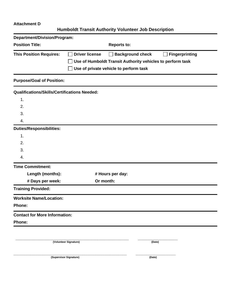## **Attachment D**

# **Humboldt Transit Authority Volunteer Job Description**

| Department/Division/Program:                        |                                                                           |
|-----------------------------------------------------|---------------------------------------------------------------------------|
| <b>Position Title:</b>                              | <b>Reports to:</b>                                                        |
| <b>This Position Requires:</b>                      | <b>Driver license</b><br><b>Background check</b><br><b>Fingerprinting</b> |
|                                                     | Use of Humboldt Transit Authority vehicles to perform task                |
|                                                     | Use of private vehicle to perform task                                    |
| <b>Purpose/Goal of Position:</b>                    |                                                                           |
| <b>Qualifications/Skills/Certifications Needed:</b> |                                                                           |
| 1.                                                  |                                                                           |
| 2.                                                  |                                                                           |
| 3.                                                  |                                                                           |
| 4.                                                  |                                                                           |
| <b>Duties/Responsibilities:</b>                     |                                                                           |
| 1.                                                  |                                                                           |
| 2.                                                  |                                                                           |
| 3.                                                  |                                                                           |
| 4.                                                  |                                                                           |
| <b>Time Commitment:</b>                             |                                                                           |
| Length (months):                                    | # Hours per day:                                                          |
| # Days per week:                                    | Or month:                                                                 |
| <b>Training Provided:</b>                           |                                                                           |
| <b>Worksite Name/Location:</b>                      |                                                                           |
| Phone:                                              |                                                                           |
| <b>Contact for More Information:</b>                |                                                                           |
| Phone:                                              |                                                                           |
|                                                     |                                                                           |
|                                                     | (Volunteer Signature)<br>(Date)                                           |

**(Supervisor Signature) (Date)**

**\_\_\_\_\_\_\_\_\_\_\_\_\_\_\_\_\_\_\_\_\_\_\_\_\_\_\_\_\_\_\_\_\_\_\_\_\_\_\_\_\_\_\_\_\_\_\_\_\_\_\_\_\_\_ \_\_\_\_\_\_\_\_\_\_\_\_\_\_\_\_\_\_\_**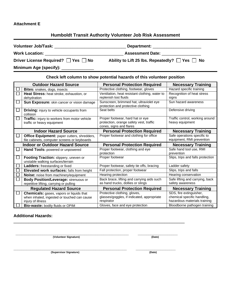### **Attachment E**

## **Humboldt Transit Authority Volunteer Job Risk Assessment**

| Volunteer Job/Task: _____________________ | Department: the contract of the contract of the contract of the contract of the contract of the contract of the contract of the contract of the contract of the contract of the contract of the contract of the contract of th |
|-------------------------------------------|--------------------------------------------------------------------------------------------------------------------------------------------------------------------------------------------------------------------------------|
| <b>Work Location:</b>                     | <b>Assessment Date:</b>                                                                                                                                                                                                        |
| Driver License Required?   Yes   No       | Ability to Lift 25 lbs. Repeatedly? $\Box$ Yes $\Box$ No                                                                                                                                                                       |
| Minimum Age (specify): _____________      |                                                                                                                                                                                                                                |

**Check left column to show potential hazards of this volunteer position**

| <b>Outdoor Hazard Source</b>                                               | <b>Personal Protection Required</b>                                           | <b>Necessary Training</b>                                    |
|----------------------------------------------------------------------------|-------------------------------------------------------------------------------|--------------------------------------------------------------|
| Bites: snakes, dogs, insects                                               | Protective clothing, footwear, gloves                                         | Hazard specific training                                     |
| <b>Heat Stress:</b> heat stroke, exhaustion, or                            | Ventilation, heat resistant clothing, water to                                | Recognition of heat stress                                   |
| dehydration                                                                | replenish lost fluids                                                         | signs                                                        |
| Sun Exposure: skin cancer or vision damage                                 | Sunscreen, brimmed hat, ultraviolet eye<br>protection and protective clothing | Sun hazard awareness                                         |
| <b>Driving:</b> injury to vehicle occupants from<br>collision              | Seat belts                                                                    | Defensive driving                                            |
| Traffic: injury to workers from motor vehicle                              | Proper footwear, hard hat or eye                                              | Traffic control, working around                              |
| traffic or heavy equipment                                                 | protection, orange safety vest, traffic<br>cones, signs and flares            | heavy equipment                                              |
| <b>Indoor Hazard Source</b>                                                | <b>Personal Protection Required</b>                                           | <b>Necessary Training</b>                                    |
| Office Equipment: paper cutters, shredders,                                | Proper footwear and clothing for office                                       | Safe operations specific to                                  |
| file cabinets, computer screens or keyboards                               |                                                                               | equipment, RMI prevention                                    |
|                                                                            |                                                                               |                                                              |
| <b>Indoor or Outdoor Hazard Source</b>                                     | <b>Personal Protection Required</b>                                           | <b>Necessary Training</b>                                    |
| Hand Tools: powered or unpowered                                           | Proper footwear, clothing and eye                                             | Safe hand tool use, RMI                                      |
|                                                                            | protection                                                                    | prevention                                                   |
| Footing Traction: slippery, uneven or<br>unstable walking surfaces/terrain | Proper footwear                                                               | Slips, trips and falls protection                            |
| Ladders: freestanding or fixed                                             | Proper footwear, safety tie offs, bracing                                     | Ladder safety                                                |
| Elevated work surfaces: falls from height                                  | Fall protection, proper footwear                                              | Slips, trips and falls                                       |
| Noise: noise from machinery/equipment                                      | Hearing protection                                                            | Hearing conservation                                         |
| <b>Body Position/Leverage: strenuous or</b>                                | Back brace, lifting and carrying aids such                                    | Safe lifting and carrying, back                              |
| repetitive lifting, carrying or pulling                                    | as hand trucks, dollies or slings                                             | safety awareness                                             |
| <b>Regulated Hazard Source</b>                                             | <b>Personal Protection Required</b>                                           | <b>Necessary Training</b>                                    |
| <b>Chemicals:</b> gases, vapors or liquids that                            | Protective clothing, gloves,                                                  | SDS, fire extinguisher,                                      |
| when inhaled, ingested or touched can cause                                | glasses/goggles, if indicated, appropriate                                    | chemical specific handling,                                  |
| injury of illness<br>Bio-waste: bodily fluids or OPIM                      | respirator<br>Gloves, face and eye protection                                 | hazardous materials training<br>Bloodborne pathogen training |

\_\_\_\_\_\_\_\_\_\_\_\_\_\_\_\_\_\_\_\_\_\_\_\_\_\_\_\_\_\_\_\_\_\_\_\_\_\_\_\_\_\_\_\_\_\_\_\_\_\_\_\_\_\_\_\_\_\_\_\_\_\_\_\_\_\_\_\_

## **Additional Hazards:**

**\_\_\_\_\_\_\_\_\_\_\_\_\_\_\_\_\_\_\_\_\_\_\_\_\_\_\_\_\_\_\_\_\_\_\_\_\_\_\_\_\_\_\_\_\_\_\_\_\_\_\_\_\_\_ \_\_\_\_\_\_\_\_\_\_\_\_\_\_\_\_\_\_\_ (Volunteer Signature) (Date)**

**\_\_\_\_\_\_\_\_\_\_\_\_\_\_\_\_\_\_\_\_\_\_\_\_\_\_\_\_\_\_\_\_\_\_\_\_\_\_\_\_\_\_\_\_\_\_\_\_\_\_\_\_\_\_ \_\_\_\_\_\_\_\_\_\_\_\_\_\_\_\_\_\_\_**  $(Ku)$  **(Supervisor Signature)** 

|--|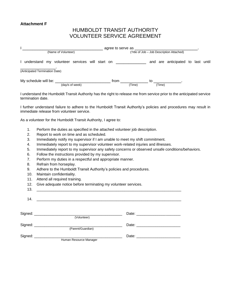### **Attachment F**

# HUMBOLDT TRANSIT AUTHORITY VOLUNTEER SERVICE AGREEMENT

|                                                        | agree to serve as                                                                                                                                                                                                                                          |  |
|--------------------------------------------------------|------------------------------------------------------------------------------------------------------------------------------------------------------------------------------------------------------------------------------------------------------------|--|
| (Name of Volunteer)                                    | (Title of Job - Job Description Attached)                                                                                                                                                                                                                  |  |
| understand my volunteer services will start on         | and are anticipated to last until                                                                                                                                                                                                                          |  |
| (Anticipated Termination Date)                         |                                                                                                                                                                                                                                                            |  |
| My schedule will be: ______________<br>(day/s of week) | from<br>to the contract of the contract of the contract of the contract of the contract of the contract of the contract of the contract of the contract of the contract of the contract of the contract of the contract of the contrac<br>(Time)<br>(Time) |  |

I understand the Humboldt Transit Authority has the right to release me from service prior to the anticipated service termination date.

I further understand failure to adhere to the Humboldt Transit Authority's policies and procedures may result in immediate release from volunteer service.

As a volunteer for the Humboldt Transit Authority, I agree to:

- 1. Perform the duties as specified in the attached volunteer job description.
- 2. Report to work on time and as scheduled.
- 3. Immediately notify my supervisor if I am unable to meet my shift commitment.
- 4. Immediately report to my supervisor volunteer work-related injuries and illnesses.
- 5. Immediately report to my supervisor any safety concerns or observed unsafe conditions/behaviors.
- 6. Follow the instructions provided by my supervisor.
- 7. Perform my duties in a respectful and appropriate manner.
- 8. Refrain from horseplay.
- 9. Adhere to the Humboldt Transit Authority's policies and procedures.
- 10. Maintain confidentiality.
- 11. Attend all required training.
- 12. Give adequate notice before terminating my volunteer services.

| 13. |                                            |  |
|-----|--------------------------------------------|--|
|     |                                            |  |
|     | $\begin{array}{c}\n 14. \end{array}$       |  |
|     |                                            |  |
|     |                                            |  |
|     |                                            |  |
|     | (Volunteer)                                |  |
|     |                                            |  |
|     | Signed: _____________<br>(Parent/Guardian) |  |
|     | Signed: ______________                     |  |
|     | Human Resource Manager                     |  |
|     |                                            |  |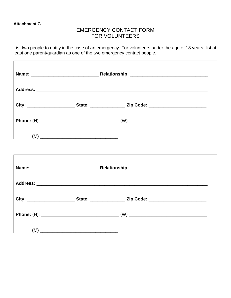#### **Attachment G**

# EMERGENCY CONTACT FORM FOR VOLUNTEERS

List two people to notify in the case of an emergency. For volunteers under the age of 18 years, list at least one parent/guardian as one of the two emergency contact people.

|     | City: __________________________State: ______________________Zip Code: ____________________________ |  |
|-----|-----------------------------------------------------------------------------------------------------|--|
|     |                                                                                                     |  |
|     | $(M)$ $\overline{\phantom{a}}$                                                                      |  |
|     |                                                                                                     |  |
|     |                                                                                                     |  |
|     |                                                                                                     |  |
|     | City: ________________________State: _____________________Zip Code: _______________________________ |  |
|     |                                                                                                     |  |
| (M) |                                                                                                     |  |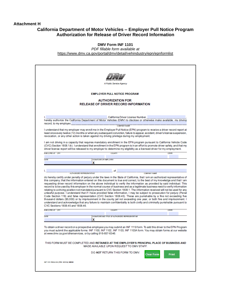#### **Attachment H**

### **California Department of Motor Vehicles – Employer Pull Notice Program Authorization for Release of Driver Record Information**

#### **DMV Form INF 1101**

*PDF fillable form available at* 

<https://www.dmv.ca.gov/portal/dmv/detail/vehindustry/epn/epnformlist>

|                                                              | A Public Service Agency                                                                                                                                                                                                                                                                                                                                                                                                                                                                                                                                                                                                                                                                                                                                                                                                                                                                                                                                                                                                                                                                                                                                                             |                     |
|--------------------------------------------------------------|-------------------------------------------------------------------------------------------------------------------------------------------------------------------------------------------------------------------------------------------------------------------------------------------------------------------------------------------------------------------------------------------------------------------------------------------------------------------------------------------------------------------------------------------------------------------------------------------------------------------------------------------------------------------------------------------------------------------------------------------------------------------------------------------------------------------------------------------------------------------------------------------------------------------------------------------------------------------------------------------------------------------------------------------------------------------------------------------------------------------------------------------------------------------------------------|---------------------|
|                                                              | <b>EMPLOYER PULL NOTICE PROGRAM</b>                                                                                                                                                                                                                                                                                                                                                                                                                                                                                                                                                                                                                                                                                                                                                                                                                                                                                                                                                                                                                                                                                                                                                 |                     |
|                                                              | <b>AUTHORIZATION FOR</b><br><b>RELEASE OF DRIVER RECORD INFORMATION</b>                                                                                                                                                                                                                                                                                                                                                                                                                                                                                                                                                                                                                                                                                                                                                                                                                                                                                                                                                                                                                                                                                                             |                     |
|                                                              |                                                                                                                                                                                                                                                                                                                                                                                                                                                                                                                                                                                                                                                                                                                                                                                                                                                                                                                                                                                                                                                                                                                                                                                     |                     |
|                                                              | California Driver License Number,<br>hereby authorize the California Department of Motor Vehicles (DMV) to disclose or otherwise make available, my driving                                                                                                                                                                                                                                                                                                                                                                                                                                                                                                                                                                                                                                                                                                                                                                                                                                                                                                                                                                                                                         |                     |
| record, to my employer,                                      | <b>COMPANY NAME</b>                                                                                                                                                                                                                                                                                                                                                                                                                                                                                                                                                                                                                                                                                                                                                                                                                                                                                                                                                                                                                                                                                                                                                                 |                     |
|                                                              | least once every twelve (12) months or when any subsequent conviction, failure to appear, accident, driver's license suspension,<br>revocation, or any other action is taken against my driving privilege during my employment.<br>I am not driving in a capacity that requires mandatory enrollment in the EPN program pursuant to California Vehicle Code<br>(CVC) Section 1808.1(k). I understand that enrollment in the EPN program is in an effort to promote driver safety, and that my<br>driver license report will be released to my employer to determine my eligibility as a licensed driver for my employment.                                                                                                                                                                                                                                                                                                                                                                                                                                                                                                                                                          |                     |
| EXECUTED AT CITY                                             | <b>COUNTY</b>                                                                                                                                                                                                                                                                                                                                                                                                                                                                                                                                                                                                                                                                                                                                                                                                                                                                                                                                                                                                                                                                                                                                                                       | <b>STATE</b>        |
|                                                              |                                                                                                                                                                                                                                                                                                                                                                                                                                                                                                                                                                                                                                                                                                                                                                                                                                                                                                                                                                                                                                                                                                                                                                                     |                     |
| DATE                                                         | SIGNATURE OF EMPLOYEE                                                                                                                                                                                                                                                                                                                                                                                                                                                                                                                                                                                                                                                                                                                                                                                                                                                                                                                                                                                                                                                                                                                                                               |                     |
|                                                              | x                                                                                                                                                                                                                                                                                                                                                                                                                                                                                                                                                                                                                                                                                                                                                                                                                                                                                                                                                                                                                                                                                                                                                                                   |                     |
|                                                              |                                                                                                                                                                                                                                                                                                                                                                                                                                                                                                                                                                                                                                                                                                                                                                                                                                                                                                                                                                                                                                                                                                                                                                                     |                     |
| <b>AUTHORIZED REPRESENTATIVE</b>                             |                                                                                                                                                                                                                                                                                                                                                                                                                                                                                                                                                                                                                                                                                                                                                                                                                                                                                                                                                                                                                                                                                                                                                                                     | <b>COMPANY NAME</b> |
| CVC Sections 1808.45 and 1808.46.                            | do hereby certify under penalty of perjury under the laws in the State of Califomia, that I am an authorized representative of<br>this company, that the information entered on this document is true and correct, to the best of my knowledge and that I am<br>requesting driver record information on the above individual to verify the information as provided by said individual. This<br>record is to be used by this employer in the normal course of business and as a legitimate business need to verify information<br>relating to a driving position not mandated pursuant to CVC Section 1808.1. The information received will not be used for any<br>unlawful purpose. I understand that if I have provided false information, I may be subject to prosecution for perjury (Penal<br>Code Section 118) and false representation (CVC Section 1808.45). These are punishable by a fine not exceeding five<br>thousand dollars (\$5,000) or by imprisonment in the county jail not exceeding one year, or both fine and imprisonment. I<br>understand and acknowledge that any failure to maintain confidentiality is both civilly and criminally punishable pursuant to |                     |
| <b>EXECUTED AT CITY</b>                                      | <b>COUNTY</b>                                                                                                                                                                                                                                                                                                                                                                                                                                                                                                                                                                                                                                                                                                                                                                                                                                                                                                                                                                                                                                                                                                                                                                       | <b>STATE</b>        |
| DATE                                                         | SIGNATURE AND TITLE OF AUTHORIZED REPRESENTATIVE                                                                                                                                                                                                                                                                                                                                                                                                                                                                                                                                                                                                                                                                                                                                                                                                                                                                                                                                                                                                                                                                                                                                    |                     |
|                                                              | x                                                                                                                                                                                                                                                                                                                                                                                                                                                                                                                                                                                                                                                                                                                                                                                                                                                                                                                                                                                                                                                                                                                                                                                   |                     |
|                                                              | To obtain a driver record on a prospective employee you may submit an INF 1119 form. To add this driver to the EPN Program                                                                                                                                                                                                                                                                                                                                                                                                                                                                                                                                                                                                                                                                                                                                                                                                                                                                                                                                                                                                                                                          |                     |
| at www.dmv.ca.gov/otherservices, or by calling 916-65/-6346. | you must submit the applicable forms: INF 1100, INF 1102, INF 1103, INF 1103A form. You may obtain forms at our website<br>THIS FORM MUST BE COMPLETED AND RETAINED AT THE EMPLOYER'S PRINCIPAL PLACE OF BUSINESS AND<br>MADE AVAILABLE UPON REQUEST TO DMV STAFF.                                                                                                                                                                                                                                                                                                                                                                                                                                                                                                                                                                                                                                                                                                                                                                                                                                                                                                                  |                     |